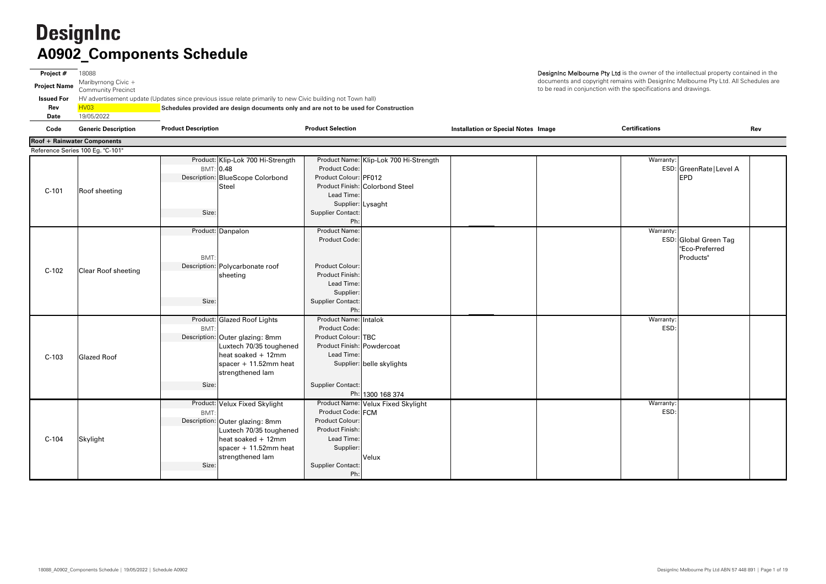**Project #** 18088 **Project Name** Maribyrnong Civic + Community Precinct **Issued For** HV advertisement update (Updates since previous issue relate primarily to new Civic building not Town hall) **Rev** HV03 **Schedules provided are design documents only and are not to be used for Construction Date**19/05/2022

| Warranty:         | ESD: GreenRate   Level A<br>EPD                      |  |
|-------------------|------------------------------------------------------|--|
| Warranty:         | ESD: Global Green Tag<br>"Eco-Preferred<br>Products" |  |
| Warranty:<br>ESD: |                                                      |  |
| Warranty:<br>ESD: |                                                      |  |

DesignInc Melbourne Pty Ltd is the owner of the intellectual property contained in the documents and copyright remains with DesignInc Melbourne Pty Ltd. All Schedules are to be read in conjunction with the specifications and drawings.

**Code Generic Description Installation or Special Notes Image Rev Product Description Product Selection Certifications** Product: Klip-Lok 700 Hi-Strength Product Name: Klip-Lok 700 Hi-Strength<br>Product Code: BMT: 0.48 Product Code: ESD: GreenRate|Level A Description: Product Colour: PF012 EPDBlueScope Colorbond Product Finish: Colorbond SteelLead Time:Supplier: Lysaght Size: Size: Supplier Contact: Ph: Product: Danpalon Danpalon Product Name: Warranty: BMT:Product Code: ESD: Global Green Tag C-102 Clear Roof sheeting Polycarbonate roof Polycarbonate roof Product Colour:<br>| Product Finish: sheeting sheeting Polycarbonate roof Product Finish: Product Finish: Lead Time: Supplier: Size: Size: Supplier Contact: Ph: Product: Glazed Roof Lights Product Name: Intalok Warranty: BMT: Product Code: ESD: Description:|Outer glazing: 8mm | Product Colour:|TBC Product Finish: Powdercoat Lead Time: Supplier: belle skylights Size: Size: Supplier Contact: Ph: 1300 168 374 Product: Velux Fixed Skylight Product Name: Velux Fixed Skylight BMT:Product Code: FCM ESD: Description: Product Colour: Outer glazing: 8mm Product Finish: Lead Time:Supplier: VeluxSize: Size: Supplier Contact: Ph: C-103 Glazed Roof Luxtech 70/35 toughened heat soaked + 12mm spacer + 11.52mm heat strengthened lam Luxtech 70/35 toughened heat soaked + 12mm spacer + 11.52mm heat strengthened lam **Roof + Rainwater Components** Reference Series 100 Eg. "C-101" C-101 Roof sheeting SteelC-104 Skylight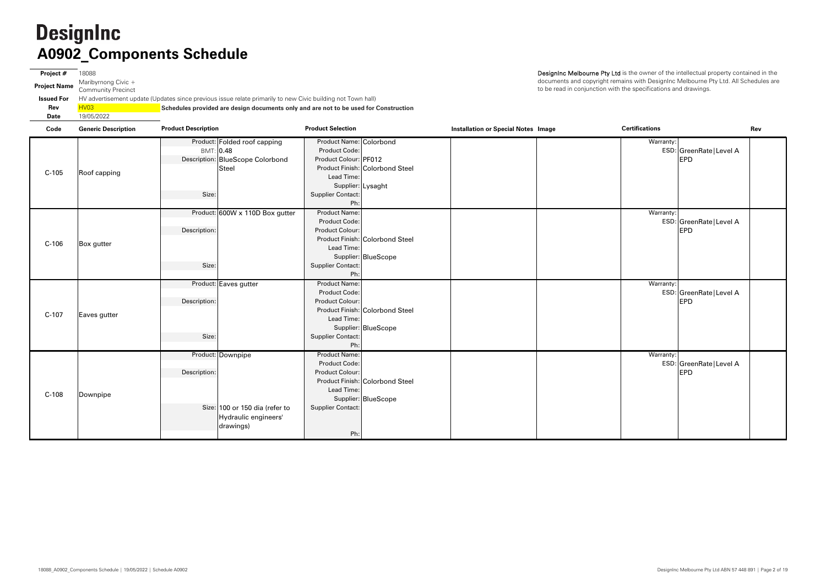**Project #** 18088 **Project Name** Maribyrnong Civic + Community Precinct **Issued ForRev** $\overline{\mathsf{H}}$ **Date** $19$ 

|                  | HV advertisement update (Updates since previous issue relate primarily to new Civic building not Town hall) |
|------------------|-------------------------------------------------------------------------------------------------------------|
| HV <sub>03</sub> | Schedules provided are design documents only and are not to be used for Construction                        |
| 19/05/2022       |                                                                                                             |

| Code    | <b>Generic Description</b> | <b>Product Description</b>                                                                               | <b>Product Selection</b>                                                                                                                                                          | <b>Installation or Special Notes Image</b> | <b>Certifications</b>                               | Rev |
|---------|----------------------------|----------------------------------------------------------------------------------------------------------|-----------------------------------------------------------------------------------------------------------------------------------------------------------------------------------|--------------------------------------------|-----------------------------------------------------|-----|
| $C-105$ | Roof capping               | Product: Folded roof capping<br>BMT: 0.48<br>Description: BlueScope Colorbond<br><b>Steel</b><br>Size:   | Product Name: Colorbond<br>Product Code:<br>Product Colour: PF012<br>Product Finish: Colorbond Steel<br>Lead Time:<br>Supplier: Lysaght<br><b>Supplier Contact:</b><br>Ph:        |                                            | Warranty:<br>ESD: GreenRate   Level A<br><b>EPD</b> |     |
| $C-106$ | Box gutter                 | Product: 600W x 110D Box gutter<br>Description:<br>Size:                                                 | <b>Product Name:</b><br><b>Product Code:</b><br><b>Product Colour:</b><br>Product Finish: Colorbond Steel<br>Lead Time:<br>Supplier: BlueScope<br><b>Supplier Contact:</b><br>Ph: |                                            | Warranty:<br>ESD: GreenRate   Level A<br><b>EPD</b> |     |
| $C-107$ | Eaves gutter               | Product: Eaves gutter<br>Description:<br>Size:                                                           | <b>Product Name:</b><br>Product Code:<br>Product Colour:<br>Product Finish: Colorbond Steel<br>Lead Time:<br>Supplier: BlueScope<br><b>Supplier Contact:</b><br>Ph:               |                                            | Warranty:<br>ESD: GreenRate   Level A<br><b>EPD</b> |     |
| $C-108$ | Downpipe                   | Product: Downpipe<br>Description:<br>Size: 100 or 150 dia (refer to<br>Hydraulic engineers'<br>drawings) | <b>Product Name:</b><br>Product Code:<br>Product Colour:<br>Product Finish: Colorbond Steel<br>Lead Time:<br>Supplier: BlueScope<br><b>Supplier Contact:</b><br>Ph:               |                                            | Warranty:<br>ESD: GreenRate   Level A<br><b>EPD</b> |     |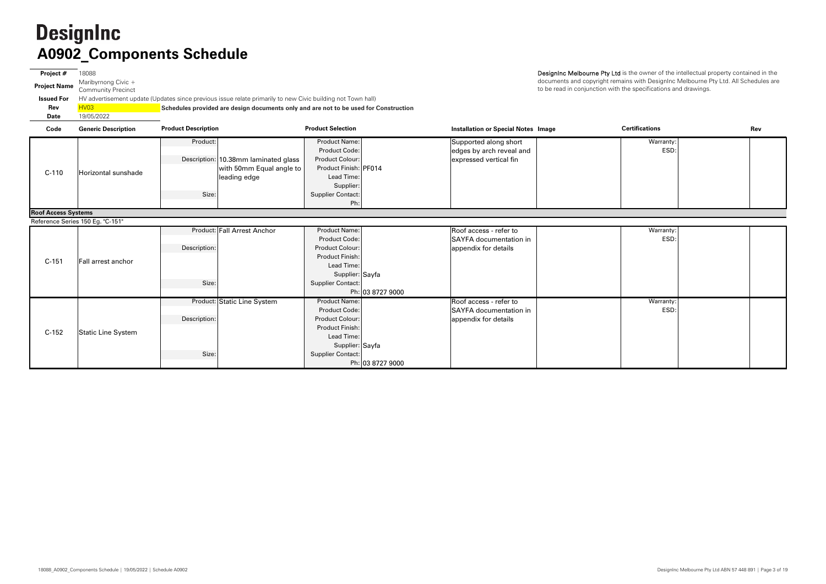**Project #** 18088 **Project Name** Maribyrnong Civic + Community Precinct **Issued For** HV advertisement update (Updates since previous issue relate primarily to new Civic building not Town hall) **Rev** HV03 **Schedules provided are design documents only and are not to be used for Construction Date**19/05/2022

DesignInc Melbourne Pty Ltd is the owner of the intellectual property contained in the documents and copyright remains with DesignInc Melbourne Pty Ltd. All Schedules are to be read in conjunction with the specifications and drawings.

| Code           | <b>Generic Description</b> | <b>Product Description</b>           | <b>Product Selection</b> | <b>Installation or Special Notes Image</b> | <b>Certifications</b> | Rev |
|----------------|----------------------------|--------------------------------------|--------------------------|--------------------------------------------|-----------------------|-----|
|                |                            | Product:                             | <b>Product Name:</b>     | Supported along short                      | Warranty:             |     |
|                |                            |                                      | Product Code:            | edges by arch reveal and                   | ESD:                  |     |
|                |                            | Description: 10.38mm laminated glass | <b>Product Colour:</b>   | expressed vertical fin                     |                       |     |
| $2 - 110$      | Horizontal sunshade        | with 50mm Equal angle to             | Product Finish: PF014    |                                            |                       |     |
|                |                            | leading edge                         | Lead Time:               |                                            |                       |     |
|                |                            |                                      | Supplier:                |                                            |                       |     |
|                |                            | Size:                                | Supplier Contact:        |                                            |                       |     |
|                |                            |                                      | Ph:                      |                                            |                       |     |
| Agonae Custame |                            |                                      |                          |                                            |                       |     |

| Warranty: |  |
|-----------|--|
| ESD:      |  |
|           |  |
|           |  |
|           |  |
|           |  |
|           |  |
|           |  |
|           |  |
|           |  |
|           |  |
|           |  |
| Warranty: |  |
| ESD:      |  |
|           |  |
|           |  |
|           |  |
|           |  |
|           |  |
|           |  |
|           |  |

Product: Product: Product Name: Warranty: Supported along short Product Code: $\vdots$  . The contract reveal and the contract of the contract of the contract  $\vdots$  and  $\vdots$  is the contract of the contract of the contract of the contract of the contract of the contract of the contract of the contract Description: Product Colour: 10.38mm laminated glass expressed vertical fin Product Finish: PF014 Lead Time: Supplier: Size: Size: Supplier Contact: Ph: Product: Fall Arrest Anchor | Product Name: Warranty: Fall Arrest Anchor Roof access - refer to Product Code: ESD: SAYFA documentation in Description: Product Colour: Product Finish:Lead Time: Supplier: Sayfa Size: Supplier Contact: Ph: 03 8727 9000 Product: Static Line System Product Name: \_\_\_\_\_\_\_\_\_\_\_\_\_\_\_\_\_\_\_\_\_\_\_\_\_\_\_\_\_\_\_\_Roof access - refer to Product Name: Roof access - refer to Product Code: ESD: SAYFA documentation in Description: Product Colour: Product Finish: Lead Time: Supplier: Sayfa Size: Size: Size: Supplier Contact: Ph: 03 8727 9000**Roof Access Systems** Reference Series 150 Eg. "C-151" C-110 Horizontal sunshadewith 50mm Equal angle to leading edge C-151 Fall arrest anchor appendix for details C-152 Static Line System appendix for details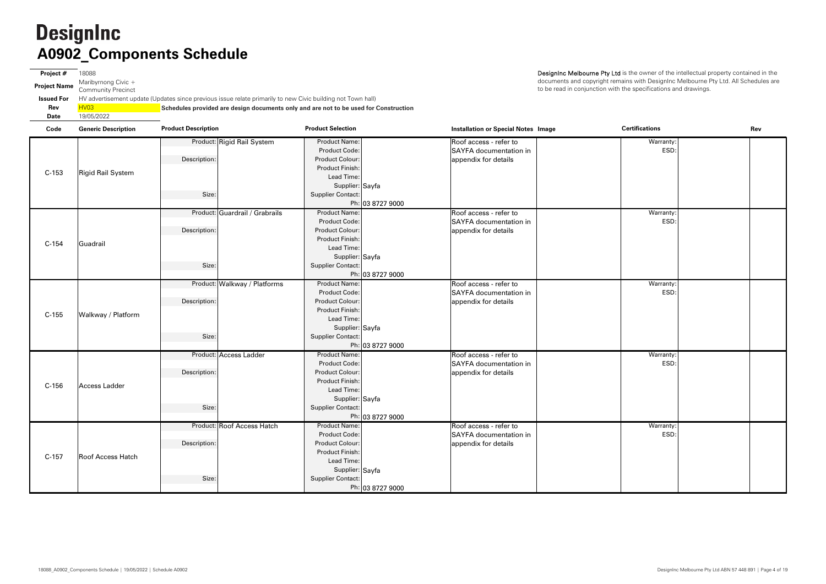**Project #** 18088 **Project Name** Maribyrnong Civic + Community Precinct **Issued For** HV advertisement update (Updates since previous issue relate primarily to new Civic building not Town hall) **Rev** HV03 **Schedules provided are design documents only and are not to be used for Construction Date**19/05/2022

| Code    | <b>Generic Description</b> | <b>Product Description</b>     | <b>Product Selection</b> |                  | <b>Installation or Special Notes Image</b> | <b>Certifications</b> | Rev |
|---------|----------------------------|--------------------------------|--------------------------|------------------|--------------------------------------------|-----------------------|-----|
|         |                            | Product: Rigid Rail System     | <b>Product Name:</b>     |                  | Roof access - refer to                     | Warranty:             |     |
|         |                            |                                | Product Code:            |                  | <b>SAYFA</b> documentation in              | ESD:                  |     |
|         |                            | Description:                   | Product Colour:          |                  | appendix for details                       |                       |     |
|         |                            |                                | <b>Product Finish:</b>   |                  |                                            |                       |     |
| $C-153$ | <b>Rigid Rail System</b>   |                                | Lead Time:               |                  |                                            |                       |     |
|         |                            |                                | Supplier: Sayfa          |                  |                                            |                       |     |
|         |                            | Size:                          | <b>Supplier Contact:</b> |                  |                                            |                       |     |
|         |                            |                                |                          | Ph: 03 8727 9000 |                                            |                       |     |
|         |                            | Product: Guardrail / Grabrails | <b>Product Name:</b>     |                  | Roof access - refer to                     | Warranty:             |     |
|         |                            |                                | Product Code:            |                  | SAYFA documentation in                     | ESD:                  |     |
|         |                            | Description:                   | Product Colour:          |                  | appendix for details                       |                       |     |
|         |                            |                                | <b>Product Finish:</b>   |                  |                                            |                       |     |
| $C-154$ | Guadrail                   |                                | Lead Time:               |                  |                                            |                       |     |
|         |                            |                                | Supplier: Sayfa          |                  |                                            |                       |     |
|         |                            | Size:                          | <b>Supplier Contact:</b> |                  |                                            |                       |     |
|         |                            |                                |                          | Ph: 03 8727 9000 |                                            |                       |     |
|         |                            | Product: Walkway / Platforms   | <b>Product Name:</b>     |                  | Roof access - refer to                     | Warranty:             |     |
|         |                            |                                | Product Code:            |                  | <b>SAYFA</b> documentation in              | ESD:                  |     |
|         |                            | Description:                   | Product Colour:          |                  | appendix for details                       |                       |     |
|         | Walkway / Platform         |                                | <b>Product Finish:</b>   |                  |                                            |                       |     |
| $C-155$ |                            |                                | Lead Time:               |                  |                                            |                       |     |
|         |                            |                                | Supplier: Sayfa          |                  |                                            |                       |     |
|         |                            | Size:                          | <b>Supplier Contact:</b> |                  |                                            |                       |     |
|         |                            |                                |                          | Ph: 03 8727 9000 |                                            |                       |     |
|         |                            | Product: Access Ladder         | <b>Product Name:</b>     |                  | Roof access - refer to                     | Warranty:             |     |
|         |                            |                                | Product Code:            |                  | <b>SAYFA</b> documentation in              | ESD:                  |     |
|         |                            | Description:                   | Product Colour:          |                  | appendix for details                       |                       |     |
|         |                            |                                | <b>Product Finish:</b>   |                  |                                            |                       |     |
| $C-156$ | Access Ladder              |                                | Lead Time:               |                  |                                            |                       |     |
|         |                            |                                | Supplier: Sayfa          |                  |                                            |                       |     |
|         |                            | Size:                          | <b>Supplier Contact:</b> |                  |                                            |                       |     |
|         |                            |                                |                          | Ph: 03 8727 9000 |                                            |                       |     |
|         |                            | Product: Roof Access Hatch     | <b>Product Name:</b>     |                  | Roof access - refer to                     | Warranty:             |     |
|         |                            |                                | Product Code:            |                  | SAYFA documentation in                     | ESD:                  |     |
|         |                            | Description:                   | Product Colour:          |                  | appendix for details                       |                       |     |
| $C-157$ | <b>Roof Access Hatch</b>   |                                | Product Finish:          |                  |                                            |                       |     |
|         |                            |                                | Lead Time:               |                  |                                            |                       |     |
|         |                            |                                | Supplier: Sayfa          |                  |                                            |                       |     |
|         |                            | Size:                          | <b>Supplier Contact:</b> |                  |                                            |                       |     |
|         |                            |                                |                          | Ph: 03 8727 9000 |                                            |                       |     |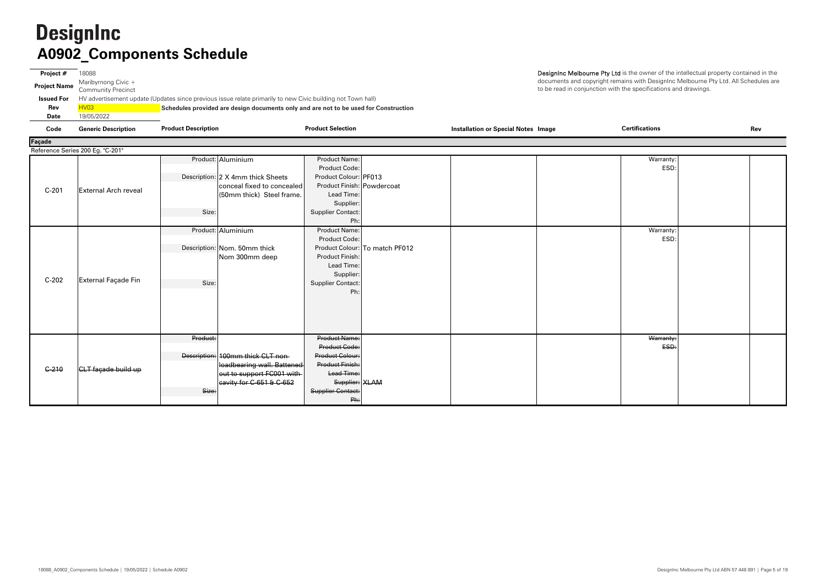DesignInc Melbourne Pty Ltd is the owner of the intellectual property contained in the documents and copyright remains with DesignInc Melbourne Pty Ltd. All Schedules are to be read in conjunction with the specifications and drawings.

**Project #** 18088 **Project Name** Maribyrnong Civic + Community Precinct **Issued For** HV advertisement update (Updates since previous issue relate primarily to new Civic building not Town hall) **Rev** HV03 **Schedules provided are design documents only and are not to be used for Construction Date** 19/05/2022 **Code Generic Description Installation or Special Notes Image Rev Product Description Product Selection Certifications**

| Façade<br>Reference Series 200 Eg. "C-201" |                             |                                   |                            |                                |  |  |           |  |
|--------------------------------------------|-----------------------------|-----------------------------------|----------------------------|--------------------------------|--|--|-----------|--|
|                                            |                             |                                   |                            |                                |  |  |           |  |
|                                            |                             | Product: Aluminium                | <b>Product Name:</b>       |                                |  |  | Warranty: |  |
|                                            |                             |                                   | Product Code:              |                                |  |  | ESD:      |  |
|                                            |                             | Description: 2 X 4mm thick Sheets | Product Colour: PF013      |                                |  |  |           |  |
| $C-201$                                    | <b>External Arch reveal</b> | conceal fixed to concealed        | Product Finish: Powdercoat |                                |  |  |           |  |
|                                            |                             | (50mm thick) Steel frame.         | Lead Time:                 |                                |  |  |           |  |
|                                            |                             |                                   | Supplier:                  |                                |  |  |           |  |
|                                            |                             | Size:                             | <b>Supplier Contact:</b>   |                                |  |  |           |  |
|                                            |                             |                                   | Ph:                        |                                |  |  |           |  |
|                                            |                             | Product: Aluminium                | <b>Product Name:</b>       |                                |  |  | Warranty: |  |
|                                            |                             |                                   | Product Code:              |                                |  |  | ESD:      |  |
|                                            |                             | Description: Nom. 50mm thick      |                            | Product Colour: To match PF012 |  |  |           |  |
|                                            |                             | Nom 300mm deep                    | Product Finish:            |                                |  |  |           |  |
|                                            |                             |                                   | Lead Time:                 |                                |  |  |           |  |
|                                            |                             |                                   | Supplier:                  |                                |  |  |           |  |
| $C-202$                                    | External Façade Fin         | Size:                             | <b>Supplier Contact:</b>   |                                |  |  |           |  |
|                                            |                             |                                   | Ph:                        |                                |  |  |           |  |
|                                            |                             |                                   |                            |                                |  |  |           |  |
|                                            |                             |                                   |                            |                                |  |  |           |  |
|                                            |                             |                                   |                            |                                |  |  |           |  |
|                                            |                             |                                   |                            |                                |  |  |           |  |
|                                            |                             | Product:                          | <b>Product Name:</b>       |                                |  |  | Warranty: |  |
|                                            |                             |                                   | <b>Product Code:</b>       |                                |  |  | ESD:      |  |
|                                            |                             | Description: 100mm thick CLT non- | <b>Product Colour:</b>     |                                |  |  |           |  |
|                                            |                             | loadbearing wall. Battened        | Product Finish:            |                                |  |  |           |  |
| $C - 210$                                  | CLT façade build up         | out to support FC001 with-        | Lead Time:                 |                                |  |  |           |  |
|                                            |                             | eavity for $C$ -651 & $C$ -652    | Supplier: XLAM             |                                |  |  |           |  |
|                                            |                             | Size:                             | Supplier Contact:          |                                |  |  |           |  |
|                                            |                             |                                   | Ph:                        |                                |  |  |           |  |
|                                            |                             |                                   |                            |                                |  |  |           |  |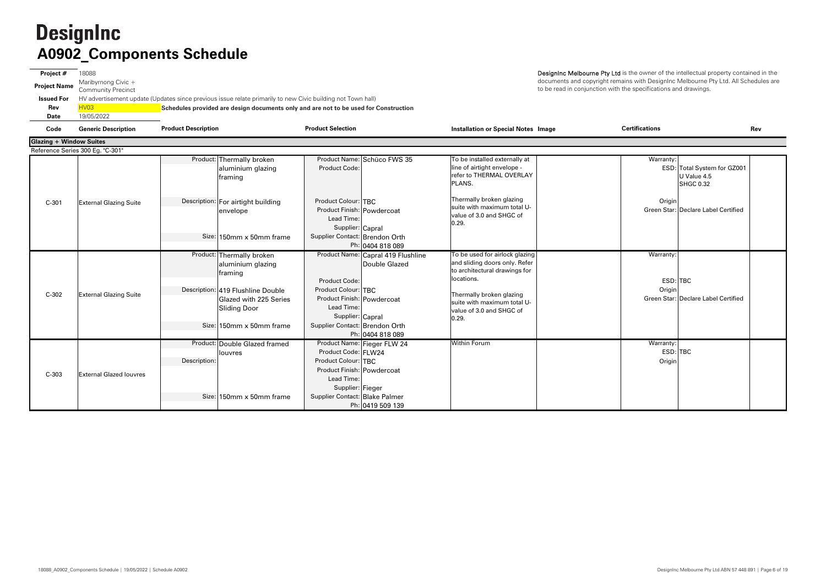**Project #** 18088 **Project Name** Maribyrnong Civic + Community Precinct **Issued For** HV advertisement update (Updates since previous issue relate primarily to new Civic building not Town hall) **Rev**HV<sub>03</sub> **Schedules provided are design documents only and are not to be used for Construction Date**19/05/2022

| Code                           | <b>Generic Description</b>       | <b>Product Description</b>                                                                                                                                                  | <b>Product Selection</b>                                                                                                                                                                                                 | <b>Installation or Special Notes Image</b>                                                                                                                                                                     | <b>Certifications</b><br>Rev                                                |
|--------------------------------|----------------------------------|-----------------------------------------------------------------------------------------------------------------------------------------------------------------------------|--------------------------------------------------------------------------------------------------------------------------------------------------------------------------------------------------------------------------|----------------------------------------------------------------------------------------------------------------------------------------------------------------------------------------------------------------|-----------------------------------------------------------------------------|
| <b>Glazing + Window Suites</b> |                                  |                                                                                                                                                                             |                                                                                                                                                                                                                          |                                                                                                                                                                                                                |                                                                             |
|                                | Reference Series 300 Eg. "C-301" |                                                                                                                                                                             |                                                                                                                                                                                                                          |                                                                                                                                                                                                                |                                                                             |
|                                |                                  | Product: Thermally broken<br>aluminium glazing<br>framing                                                                                                                   | Product Name: Schüco FWS 35<br>Product Code:                                                                                                                                                                             | To be installed externally at<br>line of airtight envelope -<br>refer to THERMAL OVERLAY<br>PLANS.                                                                                                             | Warranty:<br>ESD: Total System for GZ001<br>U Value 4.5<br><b>SHGC 0.32</b> |
| $C-301$                        | <b>External Glazing Suite</b>    | Description: For airtight building<br>envelope<br>Size: 150mm x 50mm frame                                                                                                  | Product Colour: TBC<br>Product Finish: Powdercoat<br>Lead Time:<br>Supplier: Capral<br>Supplier Contact: Brendon Orth<br>Ph: 0404 818 089                                                                                | Thermally broken glazing<br>suite with maximum total U-<br>value of 3.0 and SHGC of<br>0.29.                                                                                                                   | Origin<br>Green Star: Declare Label Certified                               |
| $C-302$                        | <b>External Glazing Suite</b>    | Product: Thermally broken<br>aluminium glazing<br>framing<br>Description: 419 Flushline Double<br>Glazed with 225 Series<br><b>Sliding Door</b><br>Size: 150mm x 50mm frame | Product Name: Capral 419 Flushline<br>Double Glazed<br><b>Product Code:</b><br>Product Colour: TBC<br>Product Finish: Powdercoat<br>Lead Time:<br>Supplier: Capral<br>Supplier Contact: Brendon Orth<br>Ph: 0404 818 089 | To be used for airlock glazing<br>and sliding doors only. Refer<br>to architectural drawings for<br>locations.<br>Thermally broken glazing<br>suite with maximum total U-<br>value of 3.0 and SHGC of<br>0.29. | Warranty:<br>ESD: TBC<br>Origin<br>Green Star: Declare Label Certified      |
| $C-303$                        | <b>External Glazed louvres</b>   | Product: Double Glazed framed<br>louvres<br>Description:<br>Size: 150mm x 50mm frame                                                                                        | Product Name: Fieger FLW 24<br>Product Code: FLW24<br>Product Colour: TBC<br>Product Finish: Powdercoat<br>Lead Time:<br>Supplier: Fieger<br>Supplier Contact: Blake Palmer<br>Ph: 0419 509 139                          | <b>Within Forum</b>                                                                                                                                                                                            | Warranty:<br>ESD: TBC<br>Origin                                             |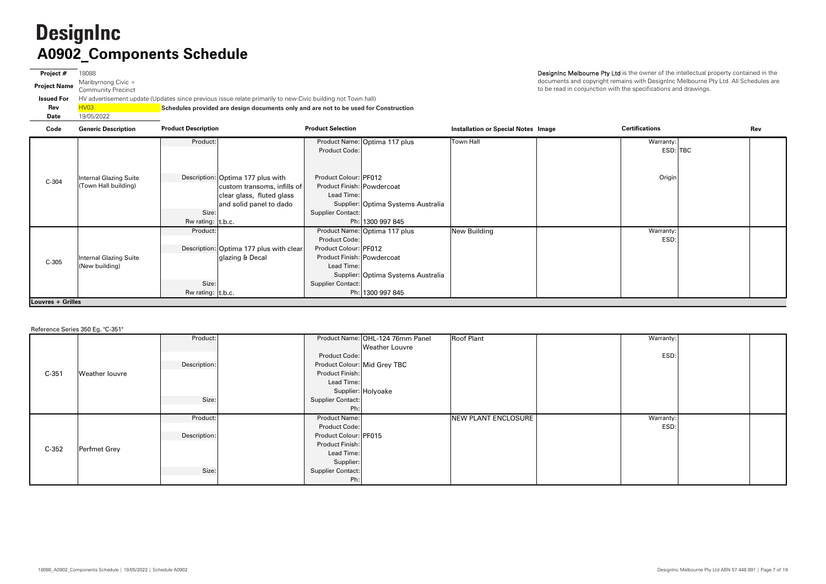**Project #** 18088 **Project Name** Maribyrnong Civic + Community Precinct **Issued For**HV advertisemer **Rev**R<mark>HV03 Market Street Street Street</mark> **Date**19/05/2022

|                            | <b>Schedules provided are design documents only and are not to be used for Construction</b>              |
|----------------------------|----------------------------------------------------------------------------------------------------------|
|                            | (Update relative on the Welter State of the backer of the discorping the weight) advertisement town hall |
| <b>IIIIUIIILY FIECINGL</b> |                                                                                                          |

DesignInc Melbourne Pty Ltd is the owner of the intellectual property contained in the documents and copyright remains with DesignInc Melbourne Pty Ltd. All Schedules are to be read in conjunction with the specifications and drawings.

| Code              | <b>Generic Description</b>    | <b>Product Description</b> |                                         | <b>Product Selection</b>   |                                    | <b>Installation or Special Notes Image</b> | <b>Certifications</b> | Rev |
|-------------------|-------------------------------|----------------------------|-----------------------------------------|----------------------------|------------------------------------|--------------------------------------------|-----------------------|-----|
|                   |                               | Product:                   |                                         |                            | Product Name: Optima 117 plus      | <b>Town Hall</b>                           | Warranty:             |     |
|                   |                               |                            |                                         | Product Code:              |                                    |                                            | ESD: TBC              |     |
|                   |                               |                            |                                         |                            |                                    |                                            |                       |     |
|                   | <b>Internal Glazing Suite</b> |                            | Description: Optima 177 plus with       | Product Colour: PF012      |                                    |                                            | Origin                |     |
| $C-304$           | (Town Hall building)          |                            | custom transoms, infills of             | Product Finish: Powdercoat |                                    |                                            |                       |     |
|                   |                               |                            | clear glass, fluted glass               | Lead Time:                 |                                    |                                            |                       |     |
|                   |                               |                            |                                         |                            |                                    |                                            |                       |     |
|                   |                               | Size:                      | and solid panel to dado                 |                            | Supplier: Optima Systems Australia |                                            |                       |     |
|                   |                               |                            |                                         | Supplier Contact:          |                                    |                                            |                       |     |
|                   |                               | Rw rating: t.b.c.          |                                         |                            | Ph: 1300 997 845                   |                                            |                       |     |
|                   |                               | Product:                   |                                         |                            | Product Name: Optima 117 plus      | <b>New Building</b>                        | Warranty:             |     |
|                   |                               |                            |                                         | Product Code:              |                                    |                                            | ESD:                  |     |
|                   |                               |                            | Description: Optima 177 plus with clear | Product Colour: PF012      |                                    |                                            |                       |     |
| $C-305$           | <b>Internal Glazing Suite</b> |                            | glazing & Decal                         | Product Finish: Powdercoat |                                    |                                            |                       |     |
|                   | (New building)                |                            |                                         | Lead Time:                 |                                    |                                            |                       |     |
|                   |                               |                            |                                         |                            | Supplier: Optima Systems Australia |                                            |                       |     |
|                   |                               | Size:                      |                                         | Supplier Contact:          |                                    |                                            |                       |     |
|                   |                               | Rw rating: $ t.b.c.$       |                                         |                            | Ph: 1300 997 845                   |                                            |                       |     |
| Louvres + Grilles |                               |                            |                                         |                            |                                    |                                            |                       |     |

|         | <b>Noticial de Sontos dos Eg.</b> 6 de 1 |              |                              |                                  |                     |           |  |
|---------|------------------------------------------|--------------|------------------------------|----------------------------------|---------------------|-----------|--|
|         |                                          | Product:     |                              | Product Name: OHL-124 76mm Panel | <b>Roof Plant</b>   | Warranty: |  |
|         |                                          |              |                              | <b>Weather Louvre</b>            |                     |           |  |
|         |                                          |              | Product Code:                |                                  |                     | ESD:      |  |
|         |                                          | Description: | Product Colour: Mid Grey TBC |                                  |                     |           |  |
| $C-351$ | <b>Weather louvre</b>                    |              | Product Finish:              |                                  |                     |           |  |
|         |                                          |              | Lead Time:                   |                                  |                     |           |  |
|         |                                          |              |                              | Supplier: Holyoake               |                     |           |  |
|         |                                          | Size:        | Supplier Contact:            |                                  |                     |           |  |
|         |                                          |              | Ph:                          |                                  |                     |           |  |
|         |                                          | Product:     | Product Name:                |                                  | NEW PLANT ENCLOSURE | Warranty: |  |
|         |                                          |              | Product Code:                |                                  |                     | ESD:      |  |
|         |                                          | Description: | Product Colour: PF015        |                                  |                     |           |  |
|         |                                          |              | Product Finish:              |                                  |                     |           |  |
| $C-352$ | Perfmet Grey                             |              | Lead Time:                   |                                  |                     |           |  |
|         |                                          |              | Supplier:                    |                                  |                     |           |  |
|         |                                          | Size:        | Supplier Contact:            |                                  |                     |           |  |
|         |                                          |              | Ph:                          |                                  |                     |           |  |

Reference Series 350 Eg. "C-351"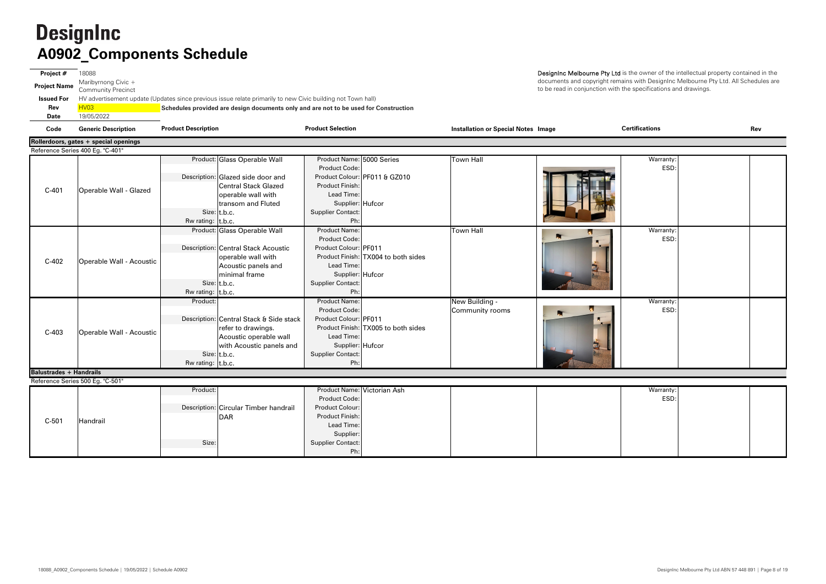**Project #** 18088 **Project Name** Maribyrnong Civic + Community Precinct **Issued For** HV advertisement update (Updates since previous issue relate primarily to new Civic building not Town hall) **Rev** HV03 **Schedules provided are design documents only and are not to be used for Construction Date** 19/05/2022 **Code Generic Description Installation or Special Notes Image Rev Product Description Product Selection Certifications**

documents and copyright remains with DesignInc Melbourne Pty Ltd. All Schedules are to be read in conjunction with the specifications and drawings.

|                                | Rollerdoors, gates + special openings                |                                                                                                                                                                                                                                                                                                                                   |                                                                                                                                                                                                                                                              |                                                                            |                                                       |                                        |
|--------------------------------|------------------------------------------------------|-----------------------------------------------------------------------------------------------------------------------------------------------------------------------------------------------------------------------------------------------------------------------------------------------------------------------------------|--------------------------------------------------------------------------------------------------------------------------------------------------------------------------------------------------------------------------------------------------------------|----------------------------------------------------------------------------|-------------------------------------------------------|----------------------------------------|
|                                | Reference Series 400 Eg. "C-401"                     |                                                                                                                                                                                                                                                                                                                                   |                                                                                                                                                                                                                                                              |                                                                            |                                                       |                                        |
| $C-401$                        | Operable Wall - Glazed                               | Product: Glass Operable Wall<br>Description: Glazed side door and<br><b>Central Stack Glazed</b><br>operable wall with<br>transom and Fluted<br>Size: t.b.c.                                                                                                                                                                      | Product Name: 5000 Series<br>Product Code:<br><b>Product Finish:</b><br>Lead Time:<br>Supplier: Hufcor<br><b>Supplier Contact:</b><br>Ph:                                                                                                                    | Product Colour: PF011 & GZ010                                              | <b>Town Hall</b>                                      | Warranty:<br>ESD:                      |
|                                |                                                      | Rw rating: $ t.b.c.$                                                                                                                                                                                                                                                                                                              |                                                                                                                                                                                                                                                              |                                                                            |                                                       |                                        |
| $C-402$<br>$C-403$             | Operable Wall - Acoustic<br>Operable Wall - Acoustic | Product: Glass Operable Wall<br>Description: Central Stack Acoustic<br>operable wall with<br>Acoustic panels and<br>minimal frame<br>Size: t.b.c.<br>Rw rating: $\vert$ t.b.c.<br>Product:<br>Description: Central Stack & Side stack<br>refer to drawings.<br>Acoustic operable wall<br>with Acoustic panels and<br>Size: t.b.c. | Product Name:<br>Product Code:<br>Product Colour: PF011<br>Lead Time:<br>Supplier: Hufcor<br><b>Supplier Contact:</b><br>Ph:<br>Product Name:<br><b>Product Code:</b><br>Product Colour: PF011<br>Lead Time:<br>Supplier: Hufcor<br><b>Supplier Contact:</b> | Product Finish: TX004 to both sides<br>Product Finish: TX005 to both sides | <b>Town Hall</b><br>New Building -<br>Community rooms | Warranty:<br>ESD:<br>Warranty:<br>ESD: |
|                                |                                                      | Rw rating: $\vert t.b.c. \vert$                                                                                                                                                                                                                                                                                                   | Ph:                                                                                                                                                                                                                                                          |                                                                            |                                                       |                                        |
| <b>Balustrades + Handrails</b> |                                                      |                                                                                                                                                                                                                                                                                                                                   |                                                                                                                                                                                                                                                              |                                                                            |                                                       |                                        |
|                                | Reference Series 500 Eg. "C-501"                     |                                                                                                                                                                                                                                                                                                                                   |                                                                                                                                                                                                                                                              |                                                                            |                                                       |                                        |
| $C-501$                        | Handrail                                             | Product:<br>Description: Circular Timber handrail<br>DAR<br>Size:                                                                                                                                                                                                                                                                 | Product Name: Victorian Ash<br>Product Code:<br><b>Product Colour:</b><br>Product Finish:<br>Lead Time:<br>Supplier:<br><b>Supplier Contact:</b><br>Ph:                                                                                                      |                                                                            |                                                       | Warranty:<br>ESD:                      |

DesignInc Melbourne Pty Ltd is the owner of the intellectual property contained in the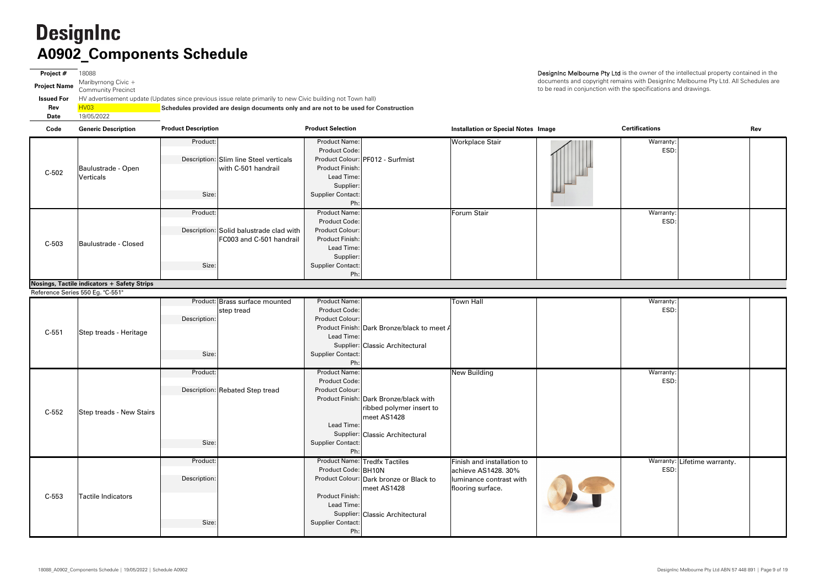**Code Generic Description Installation or Special Notes Image Rev Product Description Product Selection Certifications** Product: Product: Product Name: Warranty: Workplace Stair Product Code: $\blacksquare$ Description: |SIim line Steel verticals | Product Colour: |PF012 - Surfmist Product Finish: Lead Time: Supplier: Size: Size: Size: Supplier Contact: Ph: Product: Product: Product: Product: Product: Product: Product: Name: Product: Name: Product: Name: Product: Name: Product: Name: Product: Name: Product: Name: Product: Name: Product: Name: Product: Name: Product: Name: Pro Warranty: Forum Stair Product Code:: I discussed by the second contract of the second contract of the second contract of the second contract of t<br>ESD: I discussed by the second contract of the second contract of the second contract of the second contract o Description: Solid balustrade clad with Product Colour: Product Finish: Lead Time:Supplier: Size: Size: Supplier Contact: Ph: FC003 and C-501 handrailwith C-501 handrail **Nosings, Tactile indicators + Safety Strips** C-503 Baulustrade - Closed C-502Baulustrade - Open Verticals

**Project #** 18088 **Project Name** Maribyrnong Civic + Community Precinct **Issued For** HV advertisement update (Updates since previous issue relate primarily to new Civic building not Town hall) **Rev** HV03 **Schedules provided are design documents only and are not to be used for Construction Date**19/05/2022

DesignInc Melbourne Pty Ltd is the owner of the intellectual property contained in the documents and copyright remains with DesignInc Melbourne Pty Ltd. All Schedules are to be read in conjunction with the specifications and drawings.

|         |                           |              | Product: Brass surface mounted  | <b>Product Name:</b>     |                                             | <b>Town Hall</b>           | $\overline{\text{Warranty}}$ : |
|---------|---------------------------|--------------|---------------------------------|--------------------------|---------------------------------------------|----------------------------|--------------------------------|
|         |                           |              | step tread                      | Product Code:            |                                             |                            | ESD:                           |
|         |                           | Description: |                                 | Product Colour:          |                                             |                            |                                |
|         |                           |              |                                 |                          | Product Finish: Dark Bronze/black to meet A |                            |                                |
| $C-551$ | Step treads - Heritage    |              |                                 | Lead Time:               |                                             |                            |                                |
|         |                           |              |                                 |                          | Supplier: Classic Architectural             |                            |                                |
|         |                           | Size:        |                                 | <b>Supplier Contact:</b> |                                             |                            |                                |
|         |                           |              |                                 | Ph:                      |                                             |                            |                                |
|         |                           | Product:     |                                 | <b>Product Name:</b>     |                                             | <b>New Building</b>        | Warranty:                      |
|         |                           |              |                                 | Product Code:            |                                             |                            | ESD:                           |
|         |                           |              | Description: Rebated Step tread | Product Colour:          |                                             |                            |                                |
|         |                           |              |                                 |                          | Product Finish: Dark Bronze/black with      |                            |                                |
| $C-552$ | Step treads - New Stairs  |              |                                 |                          | ribbed polymer insert to                    |                            |                                |
|         |                           |              |                                 |                          | meet AS1428                                 |                            |                                |
|         |                           |              |                                 | Lead Time:               |                                             |                            |                                |
|         |                           |              |                                 |                          | Supplier: Classic Architectural             |                            |                                |
|         |                           | Size:        |                                 | <b>Supplier Contact:</b> |                                             |                            |                                |
|         |                           |              |                                 | Ph:                      |                                             |                            |                                |
|         |                           | Product:     |                                 |                          | <b>Product Name: Tredfx Tactiles</b>        | Finish and installation to | Warranty: Lifetime warranty    |
|         |                           |              |                                 | Product Code: BH10N      |                                             | achieve AS1428. 30%        | ESD:                           |
|         |                           | Description: |                                 |                          | Product Colour: Dark bronze or Black to     | luminance contrast with    |                                |
| C-553   | <b>Tactile Indicators</b> |              |                                 | <b>Product Finish:</b>   | meet AS1428                                 | flooring surface.          |                                |
|         |                           |              |                                 | Lead Time:               |                                             |                            |                                |
|         |                           |              |                                 |                          | Supplier: Classic Architectural             |                            |                                |
|         |                           | Size:        |                                 | <b>Supplier Contact:</b> |                                             |                            |                                |
|         |                           |              |                                 | Ph:                      |                                             |                            |                                |

Reference Series 550 Eg. "C-551"

| <b>Certifications</b> |                              | Rev |
|-----------------------|------------------------------|-----|
| Warranty:<br>ESD:     |                              |     |
| Warranty:<br>ESD:     |                              |     |
| Warranty:             |                              |     |
| ESD:                  |                              |     |
| Warranty:<br>ESD:     |                              |     |
| ESD:                  | Warranty: Lifetime warranty. |     |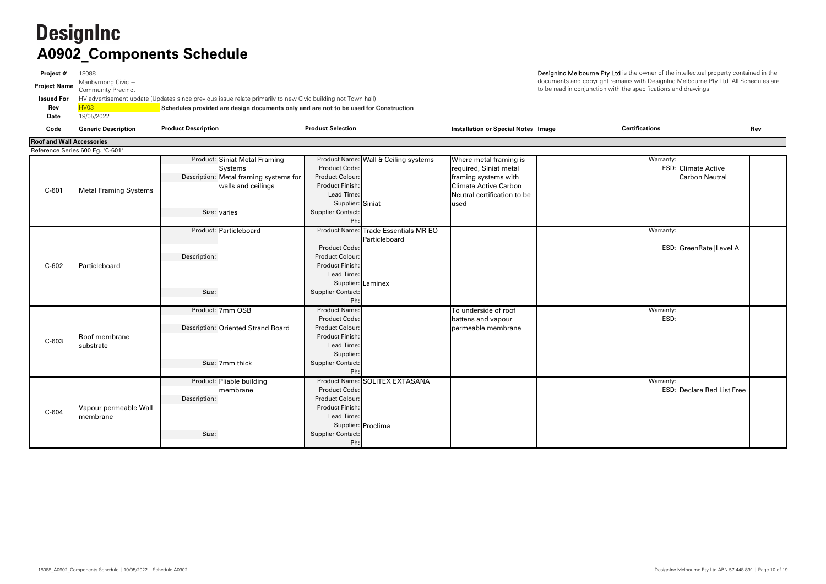**Project #** 18088 **Project Name** Maribyrnong Civic + Community Precinct **Issued For** HV advertisement update (Updates since previous issue relate primarily to new Civic building not Town hall) **Rev**HV03 **Schedules provided are design documents only and are not to be used for Construction Date**19/05/2022

| Code                             | <b>Generic Description</b>       | <b>Product Description</b> |                                                                                    | <b>Product Selection</b>                                                             |                                                       | <b>Installation or Special Notes Image</b>                               | <b>Certifications</b>                                            | Rev |
|----------------------------------|----------------------------------|----------------------------|------------------------------------------------------------------------------------|--------------------------------------------------------------------------------------|-------------------------------------------------------|--------------------------------------------------------------------------|------------------------------------------------------------------|-----|
| <b>Roof and Wall Accessories</b> |                                  |                            |                                                                                    |                                                                                      |                                                       |                                                                          |                                                                  |     |
|                                  | Reference Series 600 Eg. "C-601" |                            |                                                                                    |                                                                                      |                                                       |                                                                          |                                                                  |     |
| $C-601$                          |                                  |                            | Product: Siniat Metal Framing<br>Systems<br>Description: Metal framing systems for | Product Code:<br><b>Product Colour:</b>                                              | Product Name: Wall & Ceiling systems                  | Where metal framing is<br>required, Siniat metal<br>framing systems with | Warranty:<br><b>ESD: Climate Active</b><br><b>Carbon Neutral</b> |     |
|                                  | <b>Metal Framing Systems</b>     |                            | walls and ceilings<br>Size: varies                                                 | <b>Product Finish:</b><br>Lead Time:<br>Supplier: Siniat<br><b>Supplier Contact:</b> |                                                       | <b>Climate Active Carbon</b><br>Neutral certification to be<br>used      |                                                                  |     |
|                                  |                                  |                            |                                                                                    | Ph:                                                                                  |                                                       |                                                                          |                                                                  |     |
|                                  |                                  |                            | Product: Particleboard                                                             | <b>Product Code:</b>                                                                 | Product Name: Trade Essentials MR EO<br>Particleboard |                                                                          | Warranty:                                                        |     |
|                                  |                                  | Description:               |                                                                                    | Product Colour:                                                                      |                                                       |                                                                          | ESD: GreenRate   Level A                                         |     |
| $C-602$                          | Particleboard                    |                            |                                                                                    | <b>Product Finish:</b><br>Lead Time:                                                 |                                                       |                                                                          |                                                                  |     |
|                                  |                                  |                            |                                                                                    |                                                                                      | Supplier: Laminex                                     |                                                                          |                                                                  |     |
|                                  |                                  | Size:                      |                                                                                    | <b>Supplier Contact:</b>                                                             |                                                       |                                                                          |                                                                  |     |
|                                  |                                  |                            |                                                                                    | Ph:                                                                                  |                                                       |                                                                          |                                                                  |     |
|                                  |                                  |                            | Product: 7mm OSB                                                                   | <b>Product Name:</b><br><b>Product Code:</b>                                         |                                                       | To underside of roof                                                     | Warranty:                                                        |     |
|                                  |                                  |                            | Description: Oriented Strand Board                                                 | <b>Product Colour:</b>                                                               |                                                       | battens and vapour<br>permeable membrane                                 | ESD:                                                             |     |
|                                  | Roof membrane                    |                            |                                                                                    | <b>Product Finish:</b>                                                               |                                                       |                                                                          |                                                                  |     |
| $C-603$                          | substrate                        |                            |                                                                                    | Lead Time:                                                                           |                                                       |                                                                          |                                                                  |     |
|                                  |                                  |                            |                                                                                    | Supplier:                                                                            |                                                       |                                                                          |                                                                  |     |
|                                  |                                  |                            | Size: 7mm thick                                                                    | <b>Supplier Contact:</b><br>Ph:                                                      |                                                       |                                                                          |                                                                  |     |
|                                  |                                  |                            | Product: Pliable building                                                          |                                                                                      | Product Name: SOLITEX EXTASANA                        |                                                                          | Warranty:                                                        |     |
|                                  |                                  |                            | membrane                                                                           | <b>Product Code:</b>                                                                 |                                                       |                                                                          | <b>ESD: Declare Red List Free</b>                                |     |
|                                  |                                  | Description:               |                                                                                    | Product Colour:                                                                      |                                                       |                                                                          |                                                                  |     |
|                                  | Vapour permeable Wall            |                            |                                                                                    | <b>Product Finish:</b>                                                               |                                                       |                                                                          |                                                                  |     |
| $C-604$                          | membrane                         |                            |                                                                                    | Lead Time:                                                                           |                                                       |                                                                          |                                                                  |     |
|                                  |                                  |                            |                                                                                    |                                                                                      | Supplier: Proclima                                    |                                                                          |                                                                  |     |
|                                  |                                  | Size:                      |                                                                                    | <b>Supplier Contact:</b>                                                             |                                                       |                                                                          |                                                                  |     |
|                                  |                                  |                            |                                                                                    | Ph:                                                                                  |                                                       |                                                                          |                                                                  |     |

| ×<br>٠ |
|--------|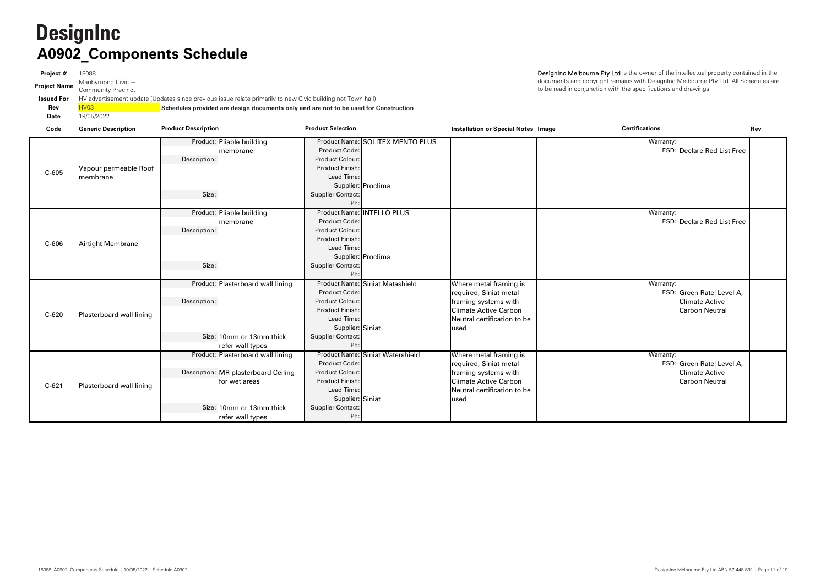**Project #** 18088 **Project Name** Maribyrnong Civic + Community Precinct **Issued For** HV advertisement update (Updates since previous issue relate primarily to new Civic building not Town hall) **Rev** HV03 **Schedules provided are design documents only and are not to be used for Construction Date**19/05/2022

DesignInc Melbourne Pty Ltd is the owner of the intellectual property contained in the documents and copyright remains with DesignInc Melbourne Pty Ltd. All Schedules are to be read in conjunction with the specifications and drawings.

**Code Generic Description Installation or Special Notes Image Rev Product Description Product Selection Certifications** Product: Pliable building | Product Name: Product Name: SOLITEX MENTO PLUS Warranty: Product Code: ESD: Declare Red List FreeDescription: Product Colour: Product Finish: Lead Time: Supplier: Proclima Size: Size: Supplier Contact: Ph: Product: Pliable building | Product Name: Product Name: INTELLO PLUS S Warranty: Product Code: ESD: Declare Red List FreeDescription: Product Colour: Product Finish: Lead Time:Supplier: Proclima Size: Size: Supplier Contact: Ph:Product: Plasterboard wall lining Plasterboard wall lining | Product Name: Siniat Matashield |Where metal framing is Where metal framing is Product Code: ESD: required, Siniat metal Description: Product Colour: Product Finish: Lead Time: Supplier: Siniat Size: 10mm or 13mm thick Supplier Contact: refer wall types Ph: Product: Plasterboard wall lining Plasterboard wall lining | Product Name: Siniat Watershield |Where metal framing is Where metal framing is Product Code: ESD: required, Siniat metal Description: MR plasterboard Ceiling | Product Colour: Product Finish: Lead Time: Supplier: Siniat Size: 10mm or 13mm thick Supplier Contact: refer wall types **Ph:** Ph: framing systems with Climate Active Carbon Neutral certification to be usedfor wet areas C-605Vapour permeable Roof membrane membrane C-620 Plasterboard wall lining framing systems with Climate Active Carbon Neutral certification to be usedC-621 Plasterboard wall lining C-606 Airtight Membrane membrane

| Certifications |                                                                              | Rev |
|----------------|------------------------------------------------------------------------------|-----|
| Warranty:      | <b>ESD: Declare Red List Free</b>                                            |     |
| Warranty:      | <b>ESD: Declare Red List Free</b>                                            |     |
| Warranty:      | ESD: Green Rate   Level A,<br><b>Climate Active</b><br><b>Carbon Neutral</b> |     |
| Warranty:      | ESD: Green Rate   Level A,<br><b>Climate Active</b><br><b>Carbon Neutral</b> |     |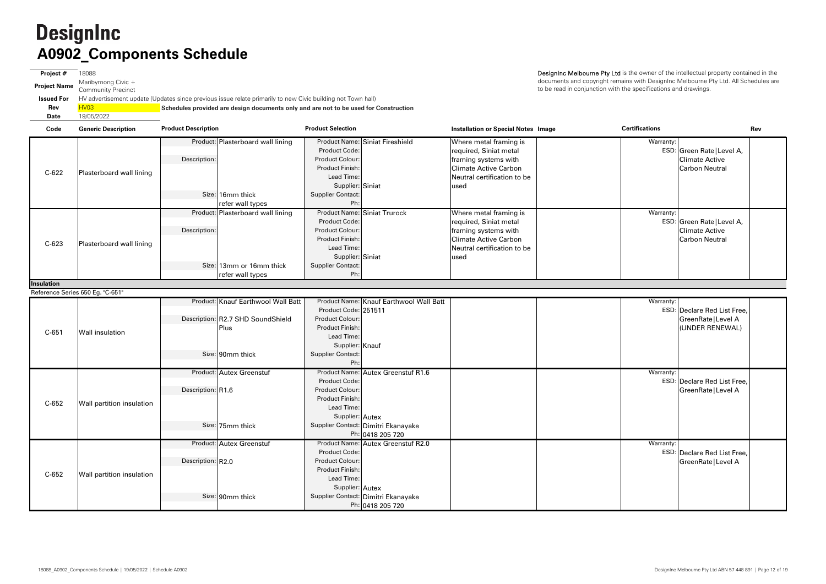**Project #** 18088 **Project Name** Maribyrnong Civic + Community Precinct **Issued For** HV advertisement update (Updates since previous issue relate primarily to new Civic building not Town hall) **Rev** HV03 **Schedules provided are design documents only and are not to be used for Construction Date**19/05/2022

| Code              | <b>Generic Description</b>       | <b>Product Description</b> |                                                                                                     | <b>Product Selection</b>                                                                                                              |                                                                                               | <b>Installation or Special Notes Image</b>                                                                                                      | <b>Certifications</b> | Rev                                                                          |
|-------------------|----------------------------------|----------------------------|-----------------------------------------------------------------------------------------------------|---------------------------------------------------------------------------------------------------------------------------------------|-----------------------------------------------------------------------------------------------|-------------------------------------------------------------------------------------------------------------------------------------------------|-----------------------|------------------------------------------------------------------------------|
| $C-622$           | Plasterboard wall lining         | Description:               | Product: Plasterboard wall lining                                                                   | Product Code:<br>Product Colour:<br><b>Product Finish:</b><br>Lead Time:<br>Supplier: Siniat                                          | Product Name: Siniat Fireshield                                                               | Where metal framing is<br>required, Siniat metal<br>framing systems with<br><b>Climate Active Carbon</b><br>Neutral certification to be<br>used | Warranty:             | ESD: Green Rate   Level A,<br>Climate Active<br><b>Carbon Neutral</b>        |
|                   |                                  |                            | Size: 16mm thick<br>refer wall types                                                                | <b>Supplier Contact:</b><br>Ph:                                                                                                       |                                                                                               |                                                                                                                                                 |                       |                                                                              |
| $C-623$           | Plasterboard wall lining         | Description:               | Product: Plasterboard wall lining                                                                   | Product Code:<br>Product Colour:<br><b>Product Finish:</b><br>Lead Time:<br>Supplier: Siniat                                          | <b>Product Name: Siniat Trurock</b>                                                           | Where metal framing is<br>required, Siniat metal<br>framing systems with<br><b>Climate Active Carbon</b><br>Neutral certification to be<br>used | Warranty:             | ESD: Green Rate   Level A,<br><b>Climate Active</b><br><b>Carbon Neutral</b> |
|                   |                                  |                            | Size: 13mm or 16mm thick<br>refer wall types                                                        | <b>Supplier Contact:</b><br>Ph:                                                                                                       |                                                                                               |                                                                                                                                                 |                       |                                                                              |
| <b>Insulation</b> |                                  |                            |                                                                                                     |                                                                                                                                       |                                                                                               |                                                                                                                                                 |                       |                                                                              |
|                   | Reference Series 650 Eg. "C-651" |                            |                                                                                                     |                                                                                                                                       |                                                                                               |                                                                                                                                                 |                       |                                                                              |
| $C-651$           | <b>Wall insulation</b>           |                            | Product: Knauf Earthwool Wall Batt<br>Description: R2.7 SHD SoundShield<br>Plus<br>Size: 90mm thick | Product Code: 251511<br><b>Product Colour:</b><br>Product Finish:<br>Lead Time:<br>Supplier: Knauf<br><b>Supplier Contact:</b><br>Ph: | Product Name: Knauf Earthwool Wall Batt                                                       |                                                                                                                                                 | Warranty:             | ESD: Declare Red List Free,<br>GreenRate   Level A<br>(UNDER RENEWAL)        |
| $C-652$           | Wall partition insulation        | Description: R1.6          | Product: Autex Greenstuf<br>Size: 75mm thick                                                        | <b>Product Code:</b><br>Product Colour:<br>Product Finish:<br>Lead Time:<br>Supplier: Autex                                           | Product Name: Autex Greenstuf R1.6<br>Supplier Contact: Dimitri Ekanayake<br>Ph: 0418 205 720 |                                                                                                                                                 | Warranty:             | ESD: Declare Red List Free,<br>GreenRate   Level A                           |
| $C-652$           | Wall partition insulation        | Description: R2.0          | Product: Autex Greenstuf<br>Size: 90mm thick                                                        | Product Code:<br>Product Colour:<br>Product Finish:<br>Lead Time:<br>Supplier: Autex                                                  | Product Name: Autex Greenstuf R2.0<br>Supplier Contact: Dimitri Ekanayake<br>Ph: 0418 205 720 |                                                                                                                                                 | Warranty:             | ESD: Declare Red List Free,<br>GreenRate   Level A                           |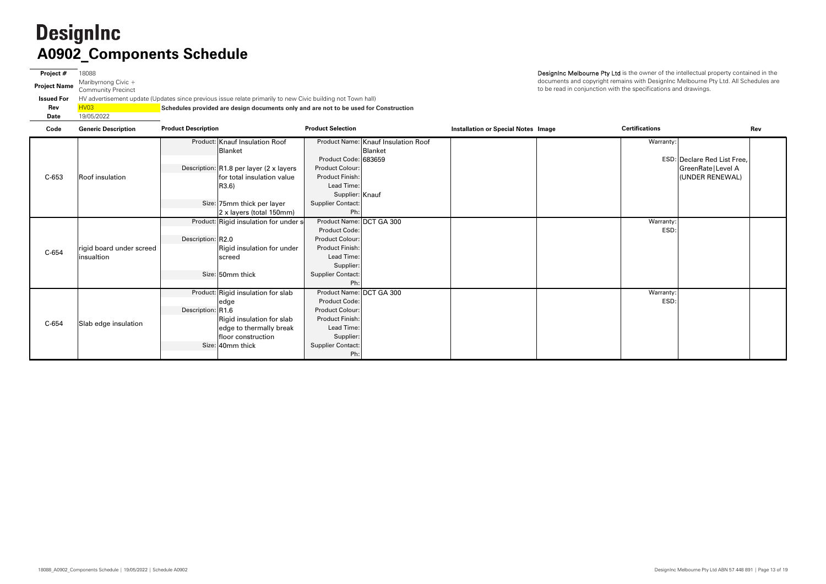**Project #** 18088 **Project Name** Maribyrnong Civic + Community Precinct **Issued For** HV advertisement update (Updates since previous issue relate primarily to new Civic building not Town hall) **Rev** HV03 **Schedules provided are design documents only and are not to be used for Construction Date**19/05/2022

| Code  | <b>Generic Description</b> | <b>Product Description</b>              | <b>Product Selection</b> |                                     | <b>Installation or Special Notes Image</b> | <b>Certifications</b> | Rev                                |
|-------|----------------------------|-----------------------------------------|--------------------------|-------------------------------------|--------------------------------------------|-----------------------|------------------------------------|
|       |                            | Product: Knauf Insulation Roof          |                          | Product Name: Knauf Insulation Roof |                                            | Warranty:             |                                    |
|       |                            | Blanket                                 |                          | Blanket                             |                                            |                       |                                    |
|       |                            |                                         | Product Code: 683659     |                                     |                                            |                       | <b>ESD: Declare Red List Free,</b> |
|       |                            | Description: R1.8 per layer (2 x layers | Product Colour:          |                                     |                                            |                       | GreenRate   Level A                |
| C-653 | Roof insulation            | for total insulation value              | <b>Product Finish:</b>   |                                     |                                            |                       | (UNDER RENEWAL)                    |
|       |                            | R3.6)                                   | Lead Time:               |                                     |                                            |                       |                                    |
|       |                            |                                         | Supplier: Knauf          |                                     |                                            |                       |                                    |
|       |                            | Size: 75mm thick per layer              | <b>Supplier Contact:</b> |                                     |                                            |                       |                                    |
|       |                            | 2 x layers (total 150mm)                | Ph:                      |                                     |                                            |                       |                                    |
|       |                            | Product: Rigid insulation for under s   | Product Name: DCT GA 300 |                                     |                                            | Warranty:             |                                    |
|       |                            |                                         | Product Code:            |                                     |                                            | ESD:                  |                                    |
|       |                            | Description: R2.0                       | Product Colour:          |                                     |                                            |                       |                                    |
| C-654 | rigid board under screed   | Rigid insulation for under              | <b>Product Finish:</b>   |                                     |                                            |                       |                                    |
|       | insualtion                 | screed                                  | Lead Time:               |                                     |                                            |                       |                                    |
|       |                            |                                         | Supplier:                |                                     |                                            |                       |                                    |
|       |                            | Size: 50mm thick                        | <b>Supplier Contact:</b> |                                     |                                            |                       |                                    |
|       |                            |                                         | Ph:                      |                                     |                                            |                       |                                    |
|       |                            | Product: Rigid insulation for slab      | Product Name: DCT GA 300 |                                     |                                            | Warranty:             |                                    |
|       |                            | edge                                    | Product Code:            |                                     |                                            | ESD:                  |                                    |
|       |                            | Description: R1.6                       | <b>Product Colour:</b>   |                                     |                                            |                       |                                    |
| C-654 | Slab edge insulation       | Rigid insulation for slab               | <b>Product Finish:</b>   |                                     |                                            |                       |                                    |
|       |                            | edge to thermally break                 | Lead Time:               |                                     |                                            |                       |                                    |
|       |                            | floor construction                      | Supplier:                |                                     |                                            |                       |                                    |
|       |                            | Size: 40mm thick                        | <b>Supplier Contact:</b> |                                     |                                            |                       |                                    |
|       |                            |                                         | Ph:                      |                                     |                                            |                       |                                    |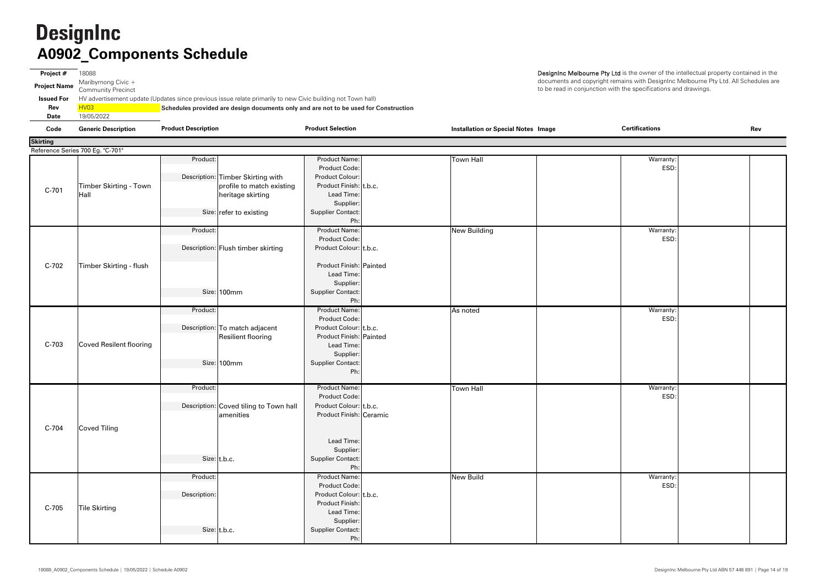**Project #** 18088 **Project Name** Maribyrnong Civic + Community Precinct **Issued For** HV advertisement update (Updates since previous issue relate primarily to new Civic building not Town hall) **Rev** HV03 **Schedules provided are design documents only and are not to be used for Construction Date**19/05/2022

| Code            | <b>Generic Description</b>       | <b>Product Description</b>                                                             | <b>Product Selection</b>                                                                                                                          | <b>Installation or Special Notes Image</b> | <b>Certifications</b> | Rev |
|-----------------|----------------------------------|----------------------------------------------------------------------------------------|---------------------------------------------------------------------------------------------------------------------------------------------------|--------------------------------------------|-----------------------|-----|
| <b>Skirting</b> |                                  |                                                                                        |                                                                                                                                                   |                                            |                       |     |
|                 | Reference Series 700 Eg. "C-701" |                                                                                        |                                                                                                                                                   |                                            |                       |     |
|                 | Timber Skirting - Town           | Product:<br>Description: Timber Skirting with<br>profile to match existing             | <b>Product Name:</b><br>Product Code:<br>Product Colour:<br>Product Finish: t.b.c.                                                                | <b>Town Hall</b>                           | Warranty:<br>ESD:     |     |
| $C-701$         | Hall                             | heritage skirting<br>Size: refer to existing                                           | Lead Time:<br>Supplier:<br><b>Supplier Contact:</b><br>Ph:                                                                                        |                                            |                       |     |
|                 |                                  | Product:<br>Description: Flush timber skirting                                         | <b>Product Name:</b><br>Product Code:<br>Product Colour: t.b.c.                                                                                   | <b>New Building</b>                        | Warranty:<br>ESD:     |     |
| $C-702$         | Timber Skirting - flush          | Size: 100mm                                                                            | Product Finish: Painted<br>Lead Time:<br>Supplier:<br><b>Supplier Contact:</b>                                                                    |                                            |                       |     |
|                 |                                  |                                                                                        | Ph:                                                                                                                                               |                                            |                       |     |
| $C-703$         | Coved Resilent flooring          | Product:<br>Description: To match adjacent<br><b>Resilient flooring</b><br>Size: 100mm | <b>Product Name:</b><br>Product Code:<br>Product Colour: t.b.c.<br>Product Finish: Painted<br>Lead Time:<br>Supplier:<br><b>Supplier Contact:</b> | As noted                                   | Warranty:<br>ESD:     |     |
|                 |                                  |                                                                                        | Ph:                                                                                                                                               |                                            |                       |     |
|                 |                                  | Product:<br>Description: Coved tiling to Town hall<br>amenities                        | <b>Product Name:</b><br>Product Code:<br>Product Colour: t.b.c.<br>Product Finish: Ceramic                                                        | <b>Town Hall</b>                           | Warranty:<br>ESD:     |     |
| C-704           | <b>Coved Tiling</b>              | Size: t.b.c.                                                                           | Lead Time:<br>Supplier:<br><b>Supplier Contact:</b>                                                                                               |                                            |                       |     |
|                 |                                  |                                                                                        | Ph:                                                                                                                                               |                                            |                       |     |
| C-705           | <b>Tile Skirting</b>             | Product:<br>Description:                                                               | <b>Product Name:</b><br>Product Code:<br>Product Colour: t.b.c.<br>Product Finish:<br>Lead Time:                                                  | New Build                                  | Warranty:<br>ESD:     |     |
|                 |                                  | Size: t.b.c.                                                                           | Supplier:<br><b>Supplier Contact:</b><br>Ph:                                                                                                      |                                            |                       |     |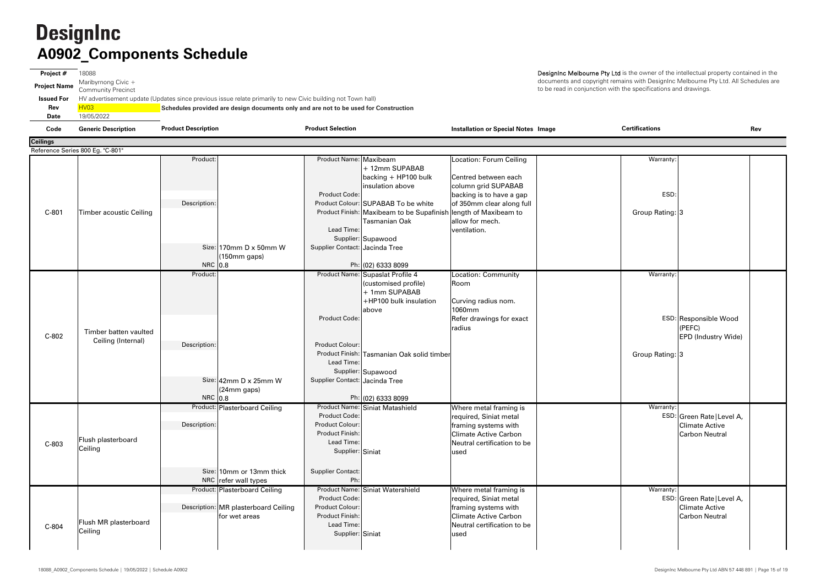| Րռժո                | Canario Dacorintion       | <b>Product Description</b> | <b>Product Selection</b>                                                                                    | Inctallation or Concial Notae Ima |      |
|---------------------|---------------------------|----------------------------|-------------------------------------------------------------------------------------------------------------|-----------------------------------|------|
| Date                | 19/05/2022                |                            |                                                                                                             |                                   |      |
| Rev                 | HVO3                      |                            | Schedules provided are design documents only and are not to be used for Construction                        |                                   |      |
| <b>Issued For</b>   |                           |                            | HV advertisement update (Updates since previous issue relate primarily to new Civic building not Town hall) |                                   |      |
| <b>Project Name</b> | <b>Community Precinct</b> |                            |                                                                                                             |                                   | to b |
|                     | Maribyrnong Civic $+$     |                            |                                                                                                             |                                   | doc  |
| Project #           | 18088                     |                            |                                                                                                             |                                   | Des  |
|                     |                           |                            |                                                                                                             |                                   |      |

| Code            | <b>Generic Description</b>                  | <b>Product Description</b>                                                             | <b>Product Selection</b>                                                              |                                                                                                              | <b>Installation or Special Notes Image</b>                                                                                                       | Certifications          | Rev                                                                          |
|-----------------|---------------------------------------------|----------------------------------------------------------------------------------------|---------------------------------------------------------------------------------------|--------------------------------------------------------------------------------------------------------------|--------------------------------------------------------------------------------------------------------------------------------------------------|-------------------------|------------------------------------------------------------------------------|
| <b>Ceilings</b> |                                             |                                                                                        |                                                                                       |                                                                                                              |                                                                                                                                                  |                         |                                                                              |
|                 | Reference Series 800 Eg. "C-801"            |                                                                                        |                                                                                       |                                                                                                              |                                                                                                                                                  |                         |                                                                              |
|                 |                                             | Product:                                                                               | Product Name: Maxibeam                                                                | + 12mm SUPABAB<br>backing + HP100 bulk<br>insulation above                                                   | <b>Location: Forum Ceiling</b><br>Centred between each<br>column grid SUPABAB                                                                    | Warranty:               |                                                                              |
| C-801           | Timber acoustic Ceiling                     | Description:                                                                           | <b>Product Code:</b>                                                                  | Product Colour: SUPABAB To be white<br>Product Finish: Maxibeam to be Supafinish                             | backing is to have a gap<br>of 350mm clear along full<br>length of Maxibeam to                                                                   | ESD:<br>Group Rating: 3 |                                                                              |
|                 |                                             |                                                                                        | Lead Time:                                                                            | <b>Tasmanian Oak</b><br>Supplier: Supawood                                                                   | allow for mech.<br>ventilation.                                                                                                                  |                         |                                                                              |
|                 |                                             | Size: $170$ mm D x 50mm W<br>(150mm gaps)<br>NRC 0.8                                   | Supplier Contact: Jacinda Tree                                                        | Ph: (02) 6333 8099                                                                                           |                                                                                                                                                  |                         |                                                                              |
|                 |                                             | Product:                                                                               |                                                                                       | Product Name: Supaslat Profile 4<br>(customised profile)<br>+ 1mm SUPABAB<br>+HP100 bulk insulation<br>above | Location: Community<br>Room<br>Curving radius nom.<br>1060mm                                                                                     | Warranty:               |                                                                              |
| $C-802$         | Timber batten vaulted<br>Ceiling (Internal) | Description:                                                                           | Product Code:<br><b>Product Colour:</b>                                               |                                                                                                              | Refer drawings for exact<br>radius                                                                                                               |                         | ESD: Responsible Wood<br>(PEFC)<br>EPD (Industry Wide)                       |
|                 |                                             | Size: 42mm D x 25mm W                                                                  | Lead Time:<br>Supplier Contact: Jacinda Tree                                          | Product Finish: Tasmanian Oak solid timber<br>Supplier: Supawood                                             |                                                                                                                                                  | Group Rating: 3         |                                                                              |
|                 |                                             | (24mm gaps)<br>NRC 0.8                                                                 |                                                                                       | Ph: (02) 6333 8099                                                                                           |                                                                                                                                                  |                         |                                                                              |
| C-803           | Flush plasterboard<br>Ceiling               | Product: Plasterboard Ceiling<br>Description:                                          | Product Code:<br>Product Colour:<br>Product Finish:<br>Lead Time:<br>Supplier: Siniat | Product Name: Siniat Matashield                                                                              | Where metal framing is<br>required, Siniat metal<br>framing systems with<br><b>Climate Active Carbon</b><br>Neutral certification to be<br>lused | Warranty:               | ESD: Green Rate   Level A,<br><b>Climate Active</b><br><b>Carbon Neutral</b> |
|                 |                                             | Size: 10mm or 13mm thick<br>NRC refer wall types                                       | Supplier Contact:<br>Ph:                                                              |                                                                                                              |                                                                                                                                                  |                         |                                                                              |
| C-804           | Flush MR plasterboard<br>Ceiling            | Product: Plasterboard Ceiling<br>Description: MR plasterboard Ceiling<br>for wet areas | Product Code:<br>Product Colour:<br>Product Finish:<br>Lead Time:<br>Supplier: Siniat | Product Name: Siniat Watershield                                                                             | Where metal framing is<br>required, Siniat metal<br>framing systems with<br><b>Climate Active Carbon</b><br>Neutral certification to be<br>used  | Warranty:               | ESD: Green Rate   Level A,<br><b>Climate Active</b><br><b>Carbon Neutral</b> |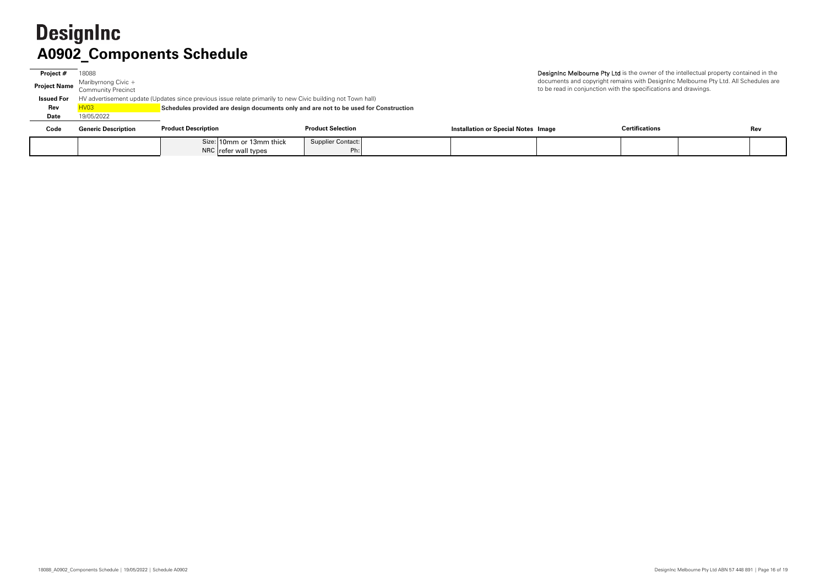# **A0902\_Components Schedule**

| Project #           | 18088                      |                                                                                                             |                          |                                            | Designinc Melbourne Pty Ltd is the owner of the intellectual property contained |     |
|---------------------|----------------------------|-------------------------------------------------------------------------------------------------------------|--------------------------|--------------------------------------------|---------------------------------------------------------------------------------|-----|
| <b>Project Name</b> | Maribyrnong Civic +        |                                                                                                             |                          |                                            | documents and copyright remains with DesignInc Melbourne Pty Ltd. All Schedu    |     |
|                     | <b>Community Precinct</b>  |                                                                                                             |                          |                                            | to be read in conjunction with the specifications and drawings.                 |     |
| <b>Issued For</b>   |                            | HV advertisement update (Updates since previous issue relate primarily to new Civic building not Town hall) |                          |                                            |                                                                                 |     |
| Rev                 |                            | Schedules provided are design documents only and are not to be used for Construction                        |                          |                                            |                                                                                 |     |
| Date                | 19/05/2022                 |                                                                                                             |                          |                                            |                                                                                 |     |
| Code                | <b>Generic Description</b> | <b>Product Description</b>                                                                                  | <b>Product Selection</b> | <b>Installation or Special Notes Image</b> | <b>Certifications</b>                                                           | Rev |
|                     |                            | Size: 10mm or 13mm thick                                                                                    | <b>Supplier Contact:</b> |                                            |                                                                                 |     |
|                     |                            | NRC refer wall types                                                                                        | Ph:                      |                                            |                                                                                 |     |

 $\alpha$  the owner of the intellectual property contained in the  $\overline{\mathsf{a}}$ ins with DesignInc Melbourne Pty Ltd. All Schedules are the specifications and drawings.

| <b>Certifications</b> | Rev |
|-----------------------|-----|
|                       |     |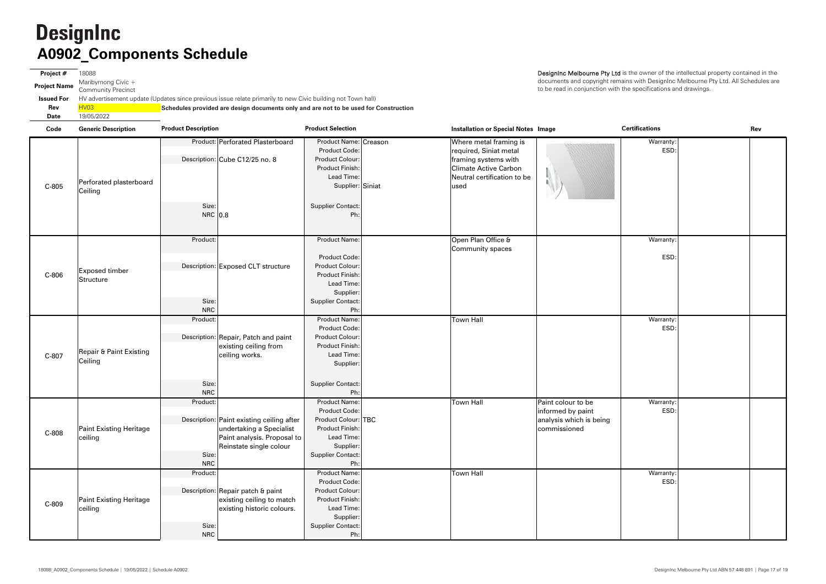**Project #** 18088 **Project Name** Maribyrnong Civic + Community Precinct **Issued For** HV advertisement update (Updates since previous issue relate primarily to new Civic building not Town hall) **Rev** HV03 **Schedules provided are design documents only and are not to be used for Construction Date**19/05/2022

| Code  | <b>Generic Description</b>                    | <b>Product Description</b>                | <b>Product Selection</b>               | <b>Installation or Special Notes Image</b>     |                         | <b>Certifications</b> | Rev |  |
|-------|-----------------------------------------------|-------------------------------------------|----------------------------------------|------------------------------------------------|-------------------------|-----------------------|-----|--|
|       |                                               | Product: Perforated Plasterboard          | Product Name: Creason<br>Product Code: | Where metal framing is                         |                         | Warranty:<br>ESD:     |     |  |
|       |                                               | Description: Cube C12/25 no. 8            | Product Colour:                        | required, Siniat metal<br>framing systems with |                         |                       |     |  |
|       |                                               |                                           | Product Finish:                        | <b>Climate Active Carbon</b>                   |                         |                       |     |  |
| C-805 |                                               |                                           | Lead Time:                             | Neutral certification to be                    |                         |                       |     |  |
|       | Perforated plasterboard                       |                                           | Supplier: Siniat                       | lused                                          |                         |                       |     |  |
|       | Ceiling                                       |                                           |                                        |                                                |                         |                       |     |  |
|       |                                               | Size:                                     | Supplier Contact:                      |                                                |                         |                       |     |  |
|       |                                               | NRC 0.8                                   | Ph:                                    |                                                |                         |                       |     |  |
|       |                                               |                                           |                                        |                                                |                         |                       |     |  |
|       |                                               | Product:                                  | <b>Product Name:</b>                   | Open Plan Office &                             |                         | Warranty:             |     |  |
|       |                                               |                                           |                                        | Community spaces                               |                         |                       |     |  |
|       |                                               |                                           | Product Code:                          |                                                |                         | ESD:                  |     |  |
|       | <b>Exposed timber</b>                         | Description: Exposed CLT structure        | Product Colour:                        |                                                |                         |                       |     |  |
| C-806 | Structure                                     |                                           | Product Finish:<br>Lead Time:          |                                                |                         |                       |     |  |
|       |                                               |                                           | Supplier:                              |                                                |                         |                       |     |  |
|       |                                               | Size:                                     | <b>Supplier Contact:</b>               |                                                |                         |                       |     |  |
|       |                                               | <b>NRC</b>                                | Ph:                                    |                                                |                         |                       |     |  |
|       | <b>Repair &amp; Paint Existing</b><br>Ceiling | Product:                                  | Product Name:                          | Town Hall                                      |                         | Warranty:             |     |  |
|       |                                               |                                           | Product Code:                          |                                                |                         | ESD:                  |     |  |
|       |                                               | Description: Repair, Patch and paint      | Product Colour:                        |                                                |                         |                       |     |  |
|       |                                               | existing ceiling from                     | Product Finish:                        |                                                |                         |                       |     |  |
| C-807 |                                               | ceiling works.                            | Lead Time:                             |                                                |                         |                       |     |  |
|       |                                               |                                           | Supplier:                              |                                                |                         |                       |     |  |
|       |                                               |                                           |                                        |                                                |                         |                       |     |  |
|       |                                               | Size:<br><b>NRC</b>                       | Supplier Contact:<br>Ph:               |                                                |                         |                       |     |  |
|       |                                               | Product:                                  | <b>Product Name:</b>                   | <b>Town Hall</b>                               | Paint colour to be      | Warranty:             |     |  |
|       |                                               |                                           | Product Code:                          |                                                | informed by paint       | ESD:                  |     |  |
|       |                                               | Description: Paint existing ceiling after | Product Colour: TBC                    |                                                | analysis which is being |                       |     |  |
| C-808 | <b>Paint Existing Heritage</b>                | undertaking a Specialist                  | Product Finish:                        |                                                | commissioned            |                       |     |  |
|       | ceiling                                       | Paint analysis. Proposal to               | Lead Time:                             |                                                |                         |                       |     |  |
|       |                                               | Reinstate single colour                   | Supplier:                              |                                                |                         |                       |     |  |
|       |                                               | Size:                                     | <b>Supplier Contact:</b>               |                                                |                         |                       |     |  |
|       |                                               | <b>NRC</b><br>Product:                    | Ph:<br><b>Product Name:</b>            | <b>Town Hall</b>                               |                         | Warranty:             |     |  |
| C-809 |                                               |                                           | Product Code:                          |                                                |                         | ESD:                  |     |  |
|       |                                               | Description: Repair patch & paint         | Product Colour:                        |                                                |                         |                       |     |  |
|       | Paint Existing Heritage                       | existing ceiling to match                 | Product Finish:                        |                                                |                         |                       |     |  |
|       | ceiling                                       | existing historic colours.                | Lead Time:                             |                                                |                         |                       |     |  |
|       |                                               |                                           | Supplier:                              |                                                |                         |                       |     |  |
|       |                                               | Size:                                     | Supplier Contact:                      |                                                |                         |                       |     |  |
|       |                                               | <b>NRC</b>                                | Ph:                                    |                                                |                         |                       |     |  |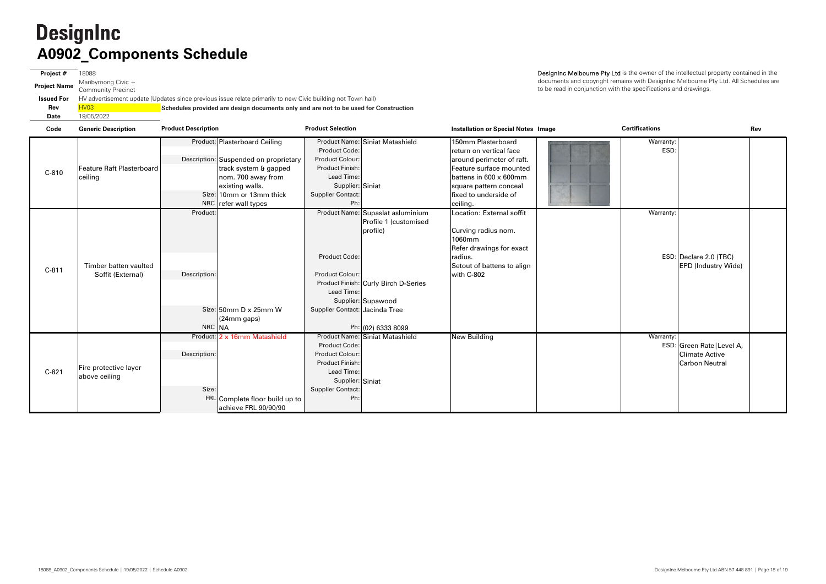**Project #** 18088 **Project Name** Maribyrnong Civic + Community Precinct **Issued For** HV advertisement update (Updates since previous issue relate primarily to new Civic building not Town hall) **Rev**HV03 **Schedules provided are design documents only and are not to be used for Construction Date**19/05/2022

| Code    | <b>Generic Description</b>                 | <b>Product Description</b>                                                                                                                                                                   | <b>Product Selection</b>                                                                                                                                                                                                                                     | <b>Installation or Special Notes Image</b>                                                                                                                                                     | <b>Certifications</b>                                                                     | Rev |
|---------|--------------------------------------------|----------------------------------------------------------------------------------------------------------------------------------------------------------------------------------------------|--------------------------------------------------------------------------------------------------------------------------------------------------------------------------------------------------------------------------------------------------------------|------------------------------------------------------------------------------------------------------------------------------------------------------------------------------------------------|-------------------------------------------------------------------------------------------|-----|
| $C-810$ | Feature Raft Plasterboard<br>ceiling       | Product: Plasterboard Ceiling<br>Description: Suspended on proprietary<br>track system & gapped<br>nom. 700 away from<br>existing walls.<br>Size: 10mm or 13mm thick<br>NRC refer wall types | Product Name: Siniat Matashield<br>Product Code:<br>Product Colour:<br><b>Product Finish:</b><br>Lead Time:<br>Supplier: Siniat<br><b>Supplier Contact:</b><br>Ph:                                                                                           | 150mm Plasterboard<br>return on vertical face<br>around perimeter of raft.<br>Feature surface mounted<br>battens in 600 x 600mm<br>square pattern conceal<br>fixed to underside of<br>ceiling. | Warranty:<br>ESD:                                                                         |     |
| $C-811$ | Timber batten vaulted<br>Soffit (External) | Product:<br>Description:<br>Size: $50$ mm D x 25mm W<br>(24mm gaps)<br>NRC NA                                                                                                                | Product Name: Supaslat asluminium<br>Profile 1 (customised<br>profile)<br><b>Product Code:</b><br><b>Product Colour:</b><br>Product Finish: Curly Birch D-Series<br>Lead Time:<br>Supplier: Supawood<br>Supplier Contact: Jacinda Tree<br>Ph: (02) 6333 8099 | Location: External soffit<br>Curving radius nom.<br>1060mm<br>Refer drawings for exact<br>radius.<br>Setout of battens to align<br>with C-802                                                  | Warranty:<br>ESD: Declare 2.0 (TBC)<br><b>EPD (Industry Wide)</b>                         |     |
| $C-821$ | Fire protective layer<br>above ceiling     | Product: 2 x 16mm Matashield<br>Description:<br>Size:<br>FRL Complete floor build up to<br>achieve FRL 90/90/90                                                                              | Product Name: Siniat Matashield<br><b>Product Code:</b><br><b>Product Colour:</b><br>Product Finish:<br>Lead Time:<br>Supplier: Siniat<br><b>Supplier Contact:</b><br>Ph:                                                                                    | New Building                                                                                                                                                                                   | Warranty:<br>ESD: Green Rate   Level A,<br><b>Climate Active</b><br><b>Carbon Neutral</b> |     |